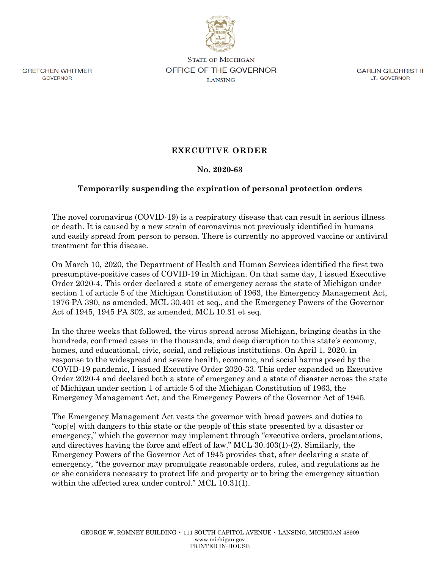

**GRETCHEN WHITMER** GOVERNOR

**STATE OF MICHIGAN OFFICE OF THE GOVERNOR LANSING** 

GARLIN GILCHRIST II LT. GOVERNOR

## **EXECUTIVE ORDER**

## **No. 2020-63**

## **Temporarily suspending the expiration of personal protection orders**

The novel coronavirus (COVID-19) is a respiratory disease that can result in serious illness or death. It is caused by a new strain of coronavirus not previously identified in humans and easily spread from person to person. There is currently no approved vaccine or antiviral treatment for this disease.

On March 10, 2020, the Department of Health and Human Services identified the first two presumptive-positive cases of COVID-19 in Michigan. On that same day, I issued Executive Order 2020-4. This order declared a state of emergency across the state of Michigan under section 1 of article 5 of the Michigan Constitution of 1963, the Emergency Management Act, 1976 PA 390, as amended, MCL 30.401 et seq., and the Emergency Powers of the Governor Act of 1945, 1945 PA 302, as amended, MCL 10.31 et seq.

In the three weeks that followed, the virus spread across Michigan, bringing deaths in the hundreds, confirmed cases in the thousands, and deep disruption to this state's economy, homes, and educational, civic, social, and religious institutions. On April 1, 2020, in response to the widespread and severe health, economic, and social harms posed by the COVID-19 pandemic, I issued Executive Order 2020-33. This order expanded on Executive Order 2020-4 and declared both a state of emergency and a state of disaster across the state of Michigan under section 1 of article 5 of the Michigan Constitution of 1963, the Emergency Management Act, and the Emergency Powers of the Governor Act of 1945.

The Emergency Management Act vests the governor with broad powers and duties to "cop[e] with dangers to this state or the people of this state presented by a disaster or emergency," which the governor may implement through "executive orders, proclamations, and directives having the force and effect of law." MCL 30.403(1)-(2). Similarly, the Emergency Powers of the Governor Act of 1945 provides that, after declaring a state of emergency, "the governor may promulgate reasonable orders, rules, and regulations as he or she considers necessary to protect life and property or to bring the emergency situation within the affected area under control." MCL 10.31(1).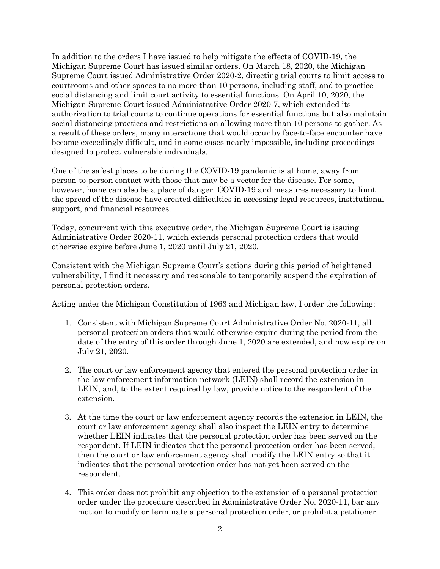In addition to the orders I have issued to help mitigate the effects of COVID-19, the Michigan Supreme Court has issued similar orders. On March 18, 2020, the Michigan Supreme Court issued Administrative Order 2020-2, directing trial courts to limit access to courtrooms and other spaces to no more than 10 persons, including staff, and to practice social distancing and limit court activity to essential functions. On April 10, 2020, the Michigan Supreme Court issued Administrative Order 2020-7, which extended its authorization to trial courts to continue operations for essential functions but also maintain social distancing practices and restrictions on allowing more than 10 persons to gather. As a result of these orders, many interactions that would occur by face-to-face encounter have become exceedingly difficult, and in some cases nearly impossible, including proceedings designed to protect vulnerable individuals.

One of the safest places to be during the COVID-19 pandemic is at home, away from person-to-person contact with those that may be a vector for the disease. For some, however, home can also be a place of danger. COVID-19 and measures necessary to limit the spread of the disease have created difficulties in accessing legal resources, institutional support, and financial resources.

Today, concurrent with this executive order, the Michigan Supreme Court is issuing Administrative Order 2020-11, which extends personal protection orders that would otherwise expire before June 1, 2020 until July 21, 2020.

Consistent with the Michigan Supreme Court's actions during this period of heightened vulnerability, I find it necessary and reasonable to temporarily suspend the expiration of personal protection orders.

Acting under the Michigan Constitution of 1963 and Michigan law, I order the following:

- 1. Consistent with Michigan Supreme Court Administrative Order No. 2020-11, all personal protection orders that would otherwise expire during the period from the date of the entry of this order through June 1, 2020 are extended, and now expire on July 21, 2020.
- 2. The court or law enforcement agency that entered the personal protection order in the law enforcement information network (LEIN) shall record the extension in LEIN, and, to the extent required by law, provide notice to the respondent of the extension.
- 3. At the time the court or law enforcement agency records the extension in LEIN, the court or law enforcement agency shall also inspect the LEIN entry to determine whether LEIN indicates that the personal protection order has been served on the respondent. If LEIN indicates that the personal protection order has been served, then the court or law enforcement agency shall modify the LEIN entry so that it indicates that the personal protection order has not yet been served on the respondent.
- 4. This order does not prohibit any objection to the extension of a personal protection order under the procedure described in Administrative Order No. 2020-11, bar any motion to modify or terminate a personal protection order, or prohibit a petitioner